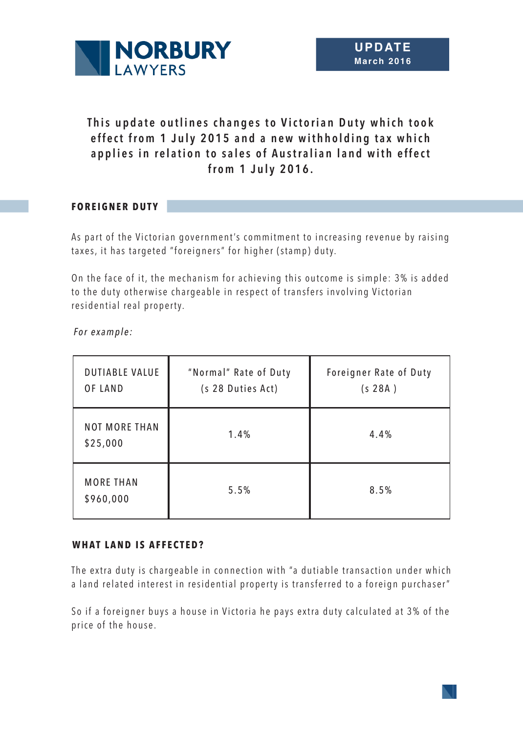

# This update outlines changes to Victorian Duty which took effect from 1 July 2015 and a new withholding tax which applies in relation to sales of Australian land with effect **from 1 July 2016.**

# **FOREIGNER DUTY**

As part of the Victorian government's commitment to increasing revenue by raising taxes, it has targeted "foreigners" for higher (stamp) duty.

On the face of it, the mechanism for achieving this outcome is simple: 3% is added to the duty otherwise chargeable in respect of transfers involving Victorian residential real property.

*For example:*

| <b>DUTIABLE VALUE</b><br><b>OF LAND</b> | "Normal" Rate of Duty<br>(s 28 Duties Act) | Foreigner Rate of Duty<br>(s 28A) |
|-----------------------------------------|--------------------------------------------|-----------------------------------|
| <b>NOT MORE THAN</b><br>\$25,000        | 1.4%                                       | 4.4%                              |
| <b>MORE THAN</b><br>\$960,000           | 5.5%                                       | 8.5%                              |

## **WHAT LAND IS AFFECTED?**

The extra duty is chargeable in connection with "a dutiable transaction under which a land related interest in residential property is transferred to a foreign purchaser"

So if a foreigner buys a house in Victoria he pays extra duty calculated at 3% of the price of the house.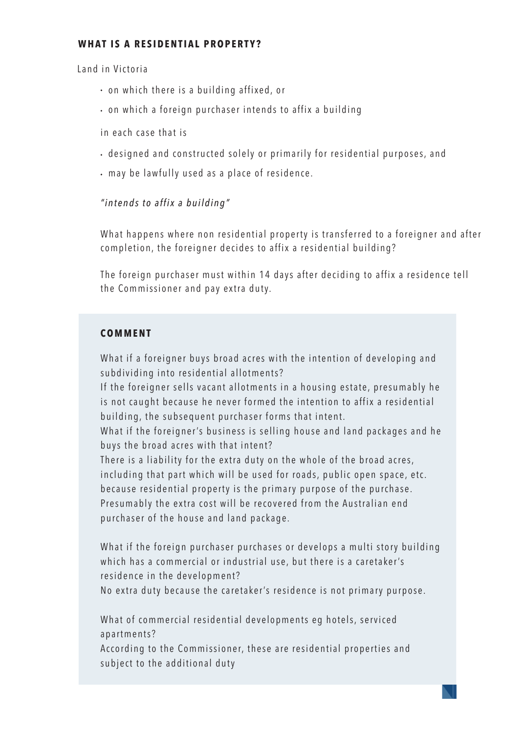## **WHAT IS A RESIDENTIAL PROPERTY?**

Land in Victoria

- on which there is a building affixed, or
- on which a foreign purchaser intends to affix a building

in each case that is

- designed and constructed solely or primarily for residential purposes, and
- may be lawfully used as a place of residence.

# *" i n t e n d s t o a ff i x a b u i l d i n g "*

What happens where non residential property is transferred to a foreigner and after completion, the foreigner decides to affix a residential building?

The foreign purchaser must within 14 days after deciding to affix a residence tell the Commissioner and pay extra duty.

## **COMMENT**

What if a foreigner buys broad acres with the intention of developing and subdividing into residential allotments?

If the foreigner sells vacant allotments in a housing estate, presumably he is not caught because he never formed the intention to affix a residential building, the subsequent purchaser forms that intent.

What if the foreigner's business is selling house and land packages and he buys the broad acres with that intent?

There is a liability for the extra duty on the whole of the broad acres, in cluding that part which will be used for roads, public open space, etc. because residential property is the primary purpose of the purchase. Presumably the extra cost will be recovered from the Australian end purchaser of the house and land package.

What if the foreign purchaser purchases or develops a multi story building which has a commercial or industrial use, but there is a caretaker's residence in the development?

No extra duty because the caretaker's residence is not primary purpose.

What of commercial residential developments eg hotels, serviced apartments?

According to the Commissioner, these are residential properties and subject to the additional duty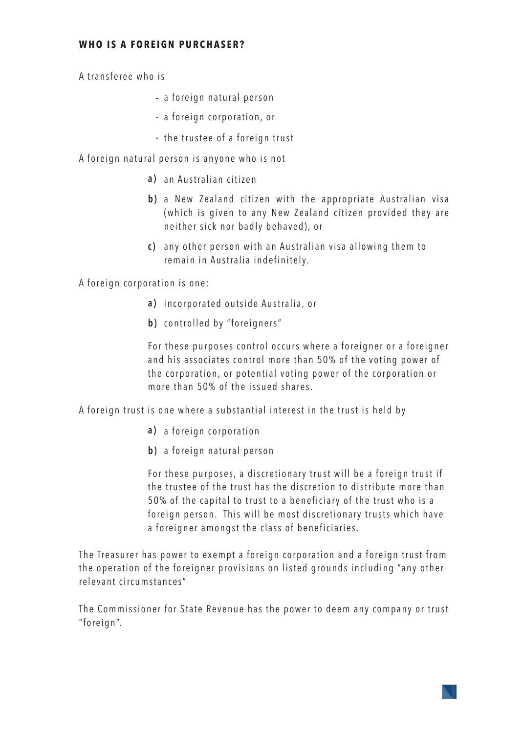#### **WHO IS A FOREIGN PURCHASER?**

A transferee who is

- a foreign natural person
- a foreign corporation, or
- the trustee of a foreign trust

A foreign natural person is anyone who is not

- **a)** an Australian citizen
- **b)** a New Zealand citizen with the appropriate Australian visa (which is given to any New Zealand citizen provided they are neither sick nor badly behaved), or
- **c)** any other person with an Australian visa allowing them to remain in Australia indefinitely.

A foreign corporation is one:

- incorporated outside Australia, or **a )**
- **b )** controlled by "foreigners"

For these purposes control occurs where a foreigner or a foreigner and his associates control more than 50% of the voting power of the corporation, or potential voting power of the corporation or more than 50% of the issued shares.

A foreign trust is one where a substantial interest in the trust is held by

- **a)** a foreign corporation
- **b )** a foreign natural person

For these purposes, a discretionary trust will be a foreign trust if the trustee of the trust has the discretion to distribute more than 50% of the capital to trust to a beneficiary of the trust who is a foreign person. This will be most discretionary trusts which have a foreigner amongst the class of beneficiaries.

The Treasurer has power to exempt a foreign corporation and a foreign trust from the operation of the foreigner provisions on listed grounds including "any other relevant circumstances"

The Commissioner for State Revenue has the power to deem any company or trust " foreign".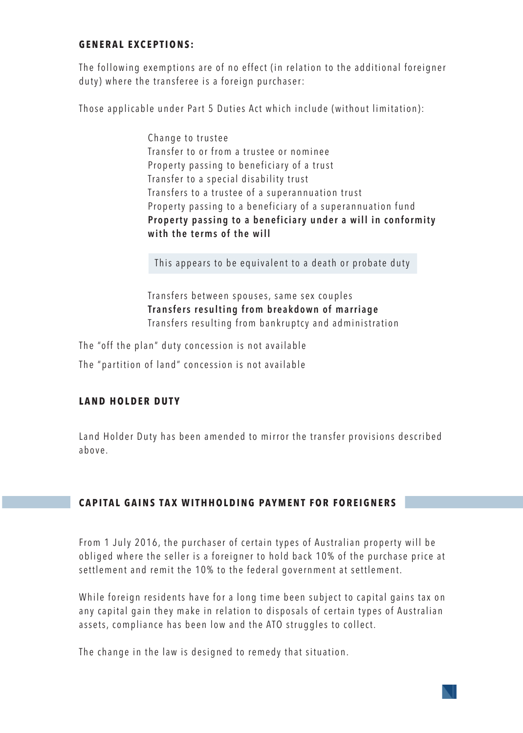#### **GENERAL EXCEPTIONS:**

The following exemptions are of no effect (in relation to the additional foreigner duty) where the transferee is a foreign purchaser:

Those applicable under Part 5 Duties Act which include (without limitation):

Change to trustee Transfer to or from a trustee or nominee Property passing to beneficiary of a trust Transfer to a special disability trust Transfers to a trustee of a superannuation trust Property passing to a beneficiary of a superannuation fund Property passing to a beneficiary under a will in conformity **with the terms of the will**

This appears to be equivalent to a death or probate duty

Transfers between spouses, same sex couples **Transfers resulting from breakdown of marriage** Transfers resulting from bankruptcy and administration

The "off the plan" duty concession is not available

The "partition of land" concession is not available

#### **LAND HOLDER DUTY**

Land Holder Duty has been amended to mirror the transfer provisions described above.

## **CAPITAL GAINS TAX WITHHOLDING PAYMENT FOR FOREIGNERS**

From 1 July 2016, the purchaser of certain types of Australian property will be obliged where the seller is a foreigner to hold back 10% of the purchase price at settlement and remit the 10% to the federal government at settlement.

While foreign residents have for a long time been subject to capital gains tax on any capital gain they make in relation to disposals of certain types of Australian assets, compliance has been low and the ATO struggles to collect.

The change in the law is designed to remedy that situation.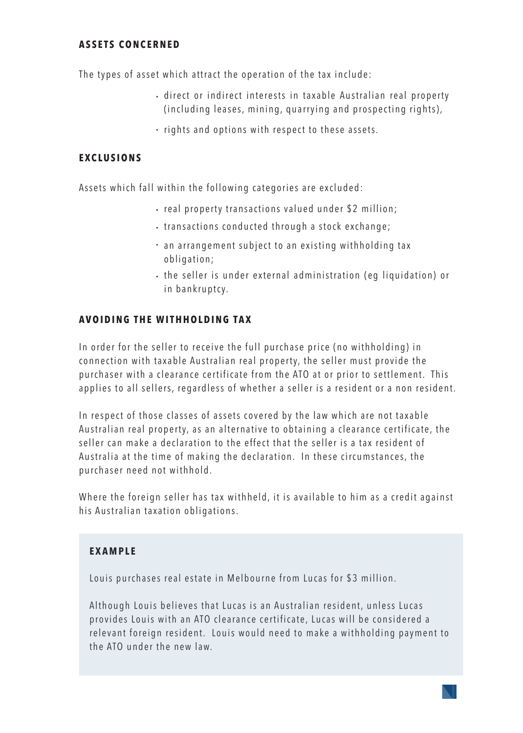#### **ASSETS CONCERNED**

The types of asset which attract the operation of the tax include:

- $\cdot$  direct or indirect interests in taxable Australian real property (including leases, mining, quarrying and prospecting rights),
- $\cdot$  rights and options with respect to these assets.

## **EXCLUSIONS**

Assets which fall within the following categories are excluded:

- real property transactions valued under \$2 million;
- $\cdot$  transactions conducted through a stock exchange;
- an arrangement subject to an existing withholding tax obligation;
- the seller is under external administration (eq liquidation) or in bankruptcy.

#### **AVOIDING THE WITHHOLDING TAX**

In order for the seller to receive the full purchase price (no withholding) in connection with taxable Australian real property, the seller must provide the purchaser with a clearance certificate from the ATO at or prior to settlement. This applies to all sellers, regardless of whether a seller is a resident or a non resident.

In respect of those classes of assets covered by the law which are not taxable Australian real property, as an alternative to obtaining a clearance certificate, the seller can make a declaration to the effect that the seller is a tax resident of Australia at the time of making the declaration. In these circumstances, the purchaser need not withhold.

Where the foreign seller has tax withheld, it is available to him as a credit against his Australian taxation obligations.

#### **EXAMPLE**

Louis purchases real estate in Melbourne from Lucas for \$3 million.

Although Louis believes that Lucas is an Australian resident, unless Lucas provides Louis with an ATO clearance certificate, Lucas will be considered a relevant foreign resident. Louis would need to make a withholding payment to the ATO under the new law.